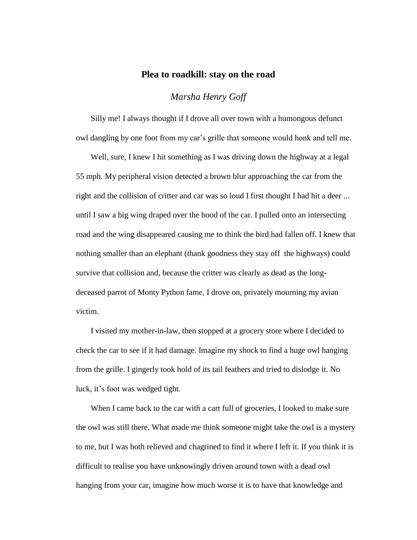## **Plea to roadkill: stay on the road**

## *Marsha Henry Goff*

Silly me! I always thought if I drove all over town with a humongous defunct owl dangling by one foot from my car's grille that someone would honk and tell me.

Well, sure, I knew I hit something as I was driving down the highway at a legal 55 mph. My peripheral vision detected a brown blur approaching the car from the right and the collision of critter and car was so loud I first thought I had hit a deer ... until I saw a big wing draped over the hood of the car. I pulled onto an intersecting road and the wing disappeared causing me to think the bird had fallen off. I knew that nothing smaller than an elephant (thank goodness they stay off the highways) could survive that collision and, because the critter was clearly as dead as the longdeceased parrot of Monty Python fame, I drove on, privately mourning my avian victim.

I visited my mother-in-law, then stopped at a grocery store where I decided to check the car to see if it had damage. Imagine my shock to find a huge owl hanging from the grille. I gingerly took hold of its tail feathers and tried to dislodge it. No luck, it's foot was wedged tight.

When I came back to the car with a cart full of groceries, I looked to make sure the owl was still there. What made me think someone might take the owl is a mystery to me, but I was both relieved and chagrined to find it where I left it. If you think it is difficult to realise you have unknowingly driven around town with a dead owl hanging from your car, imagine how much worse it is to have that knowledge and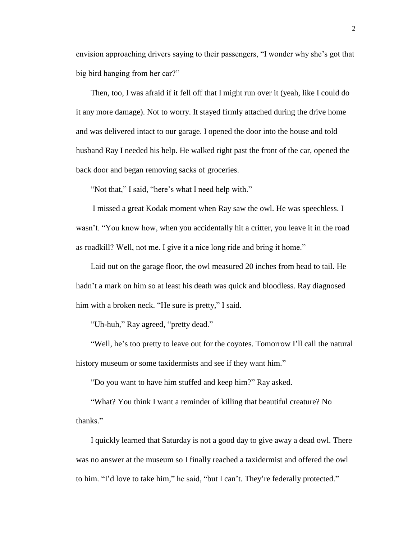envision approaching drivers saying to their passengers, "I wonder why she's got that big bird hanging from her car?"

Then, too, I was afraid if it fell off that I might run over it (yeah, like I could do it any more damage). Not to worry. It stayed firmly attached during the drive home and was delivered intact to our garage. I opened the door into the house and told husband Ray I needed his help. He walked right past the front of the car, opened the back door and began removing sacks of groceries.

"Not that," I said, "here's what I need help with."

I missed a great Kodak moment when Ray saw the owl. He was speechless. I wasn't. "You know how, when you accidentally hit a critter, you leave it in the road as roadkill? Well, not me. I give it a nice long ride and bring it home."

Laid out on the garage floor, the owl measured 20 inches from head to tail. He hadn't a mark on him so at least his death was quick and bloodless. Ray diagnosed him with a broken neck. "He sure is pretty," I said.

"Uh-huh," Ray agreed, "pretty dead."

"Well, he's too pretty to leave out for the coyotes. Tomorrow I'll call the natural history museum or some taxidermists and see if they want him."

"Do you want to have him stuffed and keep him?" Ray asked.

"What? You think I want a reminder of killing that beautiful creature? No thanks."

I quickly learned that Saturday is not a good day to give away a dead owl. There was no answer at the museum so I finally reached a taxidermist and offered the owl to him. "I'd love to take him," he said, "but I can't. They're federally protected."